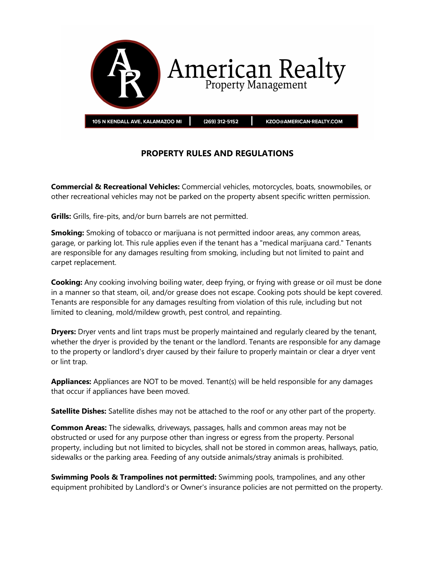

## **PROPERTY RULES AND REGULATIONS**

**Commercial & Recreational Vehicles:** Commercial vehicles, motorcycles, boats, snowmobiles, or other recreational vehicles may not be parked on the property absent specific written permission.

**Grills:** Grills, fire-pits, and/or burn barrels are not permitted.

**Smoking:** Smoking of tobacco or marijuana is not permitted indoor areas, any common areas, garage, or parking lot. This rule applies even if the tenant has a "medical marijuana card." Tenants are responsible for any damages resulting from smoking, including but not limited to paint and carpet replacement.

**Cooking:** Any cooking involving boiling water, deep frying, or frying with grease or oil must be done in a manner so that steam, oil, and/or grease does not escape. Cooking pots should be kept covered. Tenants are responsible for any damages resulting from violation of this rule, including but not limited to cleaning, mold/mildew growth, pest control, and repainting.

**Dryers:** Dryer vents and lint traps must be properly maintained and regularly cleared by the tenant, whether the dryer is provided by the tenant or the landlord. Tenants are responsible for any damage to the property or landlord's dryer caused by their failure to properly maintain or clear a dryer vent or lint trap.

**Appliances:** Appliances are NOT to be moved. Tenant(s) will be held responsible for any damages that occur if appliances have been moved.

**Satellite Dishes:** Satellite dishes may not be attached to the roof or any other part of the property.

**Common Areas:** The sidewalks, driveways, passages, halls and common areas may not be obstructed or used for any purpose other than ingress or egress from the property. Personal property, including but not limited to bicycles, shall not be stored in common areas, hallways, patio, sidewalks or the parking area. Feeding of any outside animals/stray animals is prohibited.

**Swimming Pools & Trampolines not permitted:** Swimming pools, trampolines, and any other equipment prohibited by Landlord's or Owner's insurance policies are not permitted on the property.